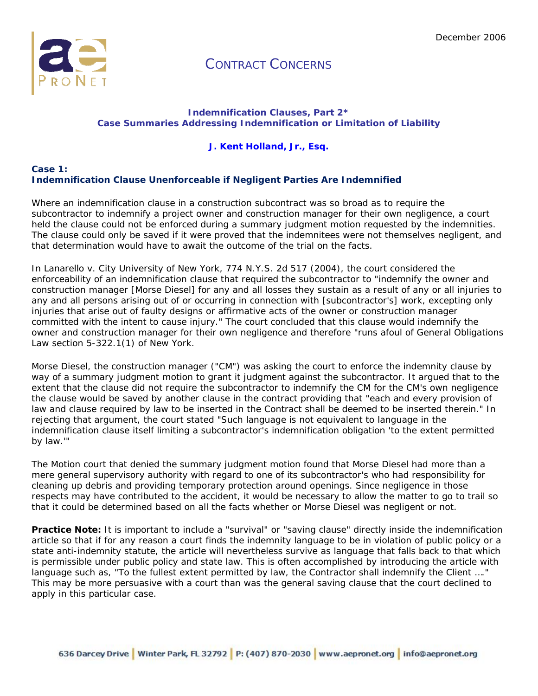

### **Indemnification Clauses, Part 2\* Case Summaries Addressing Indemnification or Limitation of Liability**

### **J. Kent Holland, Jr., Esq.**

#### **Case 1: Indemnification Clause Unenforceable if Negligent Parties Are Indemnified**

Where an indemnification clause in a construction subcontract was so broad as to require the subcontractor to indemnify a project owner and construction manager for their own negligence, a court held the clause could not be enforced during a summary judgment motion requested by the indemnities. The clause could only be saved if it were proved that the indemnitees were not themselves negligent, and that determination would have to await the outcome of the trial on the facts.

In Lanarello v. City University of New York, 774 N.Y.S. 2d 517 (2004), the court considered the enforceability of an indemnification clause that required the subcontractor to "indemnify the owner and construction manager [Morse Diesel] for any and all losses they sustain as a result of any or all injuries to any and all persons arising out of or occurring in connection with [subcontractor's] work, excepting only injuries that arise out of faulty designs or affirmative acts of the owner or construction manager committed with the intent to cause injury." The court concluded that this clause would indemnify the owner and construction manager for their own negligence and therefore "runs afoul of General Obligations Law section 5-322.1(1) of New York.

Morse Diesel, the construction manager ("CM") was asking the court to enforce the indemnity clause by way of a summary judgment motion to grant it judgment against the subcontractor. It argued that to the extent that the clause did not require the subcontractor to indemnify the CM for the CM's own negligence the clause would be saved by another clause in the contract providing that "each and every provision of law and clause required by law to be inserted in the Contract shall be deemed to be inserted therein." In rejecting that argument, the court stated "Such language is not equivalent to language in the indemnification clause itself limiting a subcontractor's indemnification obligation 'to the extent permitted by law.'"

The Motion court that denied the summary judgment motion found that Morse Diesel had more than a mere general supervisory authority with regard to one of its subcontractor's who had responsibility for cleaning up debris and providing temporary protection around openings. Since negligence in those respects may have contributed to the accident, it would be necessary to allow the matter to go to trail so that it could be determined based on all the facts whether or Morse Diesel was negligent or not.

**Practice Note:** It is important to include a "survival" or "saving clause" directly inside the indemnification article so that if for any reason a court finds the indemnity language to be in violation of public policy or a state anti-indemnity statute, the article will nevertheless survive as language that falls back to that which is permissible under public policy and state law. This is often accomplished by introducing the article with language such as, "To the fullest extent permitted by law, the Contractor shall indemnify the Client …." This may be more persuasive with a court than was the general saving clause that the court declined to apply in this particular case.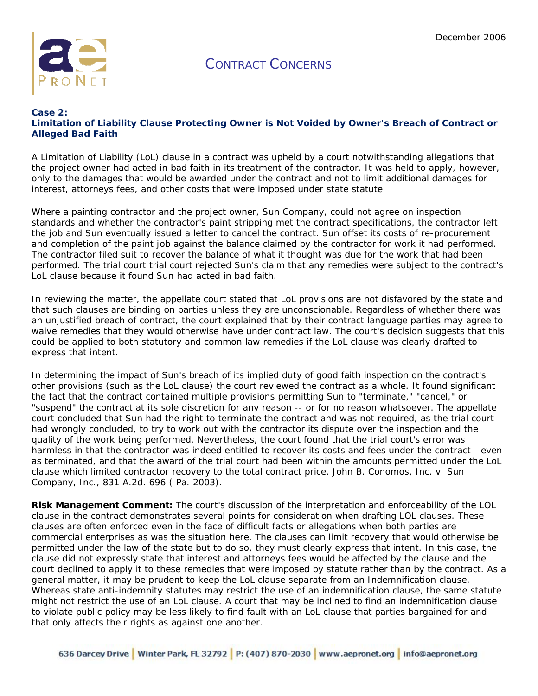

#### **Case 2: Limitation of Liability Clause Protecting Owner is Not Voided by Owner's Breach of Contract or Alleged Bad Faith**

A Limitation of Liability (LoL) clause in a contract was upheld by a court notwithstanding allegations that the project owner had acted in bad faith in its treatment of the contractor. It was held to apply, however, only to the damages that would be awarded under the contract and not to limit additional damages for interest, attorneys fees, and other costs that were imposed under state statute.

Where a painting contractor and the project owner, Sun Company, could not agree on inspection standards and whether the contractor's paint stripping met the contract specifications, the contractor left the job and Sun eventually issued a letter to cancel the contract. Sun offset its costs of re-procurement and completion of the paint job against the balance claimed by the contractor for work it had performed. The contractor filed suit to recover the balance of what it thought was due for the work that had been performed. The trial court trial court rejected Sun's claim that any remedies were subject to the contract's LoL clause because it found Sun had acted in bad faith.

In reviewing the matter, the appellate court stated that LoL provisions are not disfavored by the state and that such clauses are binding on parties unless they are unconscionable. Regardless of whether there was an unjustified breach of contract, the court explained that by their contract language parties may agree to waive remedies that they would otherwise have under contract law. The court's decision suggests that this could be applied to both statutory and common law remedies if the LoL clause was clearly drafted to express that intent.

In determining the impact of Sun's breach of its implied duty of good faith inspection on the contract's other provisions (such as the LoL clause) the court reviewed the contract as a whole. It found significant the fact that the contract contained multiple provisions permitting Sun to "terminate," "cancel," or "suspend" the contract at its sole discretion for any reason -- or for no reason whatsoever. The appellate court concluded that Sun had the right to terminate the contract and was not required, as the trial court had wrongly concluded, to try to work out with the contractor its dispute over the inspection and the quality of the work being performed. Nevertheless, the court found that the trial court's error was harmless in that the contractor was indeed entitled to recover its costs and fees under the contract - even as terminated, and that the award of the trial court had been within the amounts permitted under the LoL clause which limited contractor recovery to the total contract price. John B. Conomos, Inc. v. Sun Company, Inc., 831 A.2d. 696 ( Pa. 2003).

**Risk Management Comment:** The court's discussion of the interpretation and enforceability of the LOL clause in the contract demonstrates several points for consideration when drafting LOL clauses. These clauses are often enforced even in the face of difficult facts or allegations when both parties are commercial enterprises as was the situation here. The clauses can limit recovery that would otherwise be permitted under the law of the state but to do so, they must clearly express that intent. In this case, the clause did not expressly state that interest and attorneys fees would be affected by the clause and the court declined to apply it to these remedies that were imposed by statute rather than by the contract. As a general matter, it may be prudent to keep the LoL clause separate from an Indemnification clause. Whereas state anti-indemnity statutes may restrict the use of an indemnification clause, the same statute might not restrict the use of an LoL clause. A court that may be inclined to find an indemnification clause to violate public policy may be less likely to find fault with an LoL clause that parties bargained for and that only affects their rights as against one another.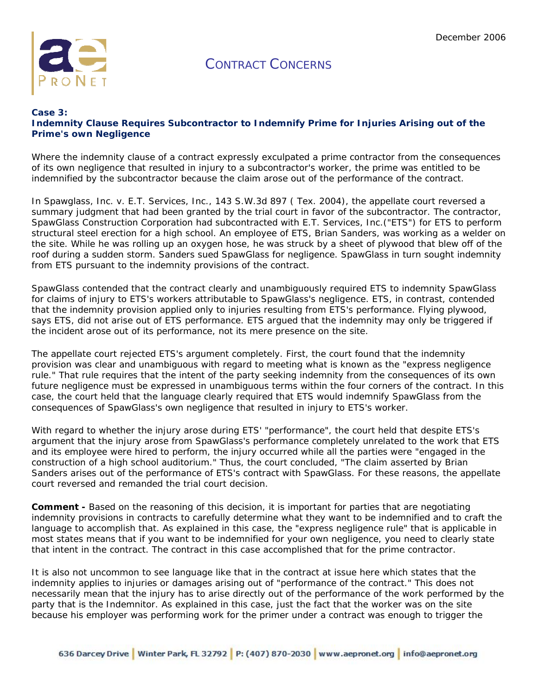

### **Case 3: Indemnity Clause Requires Subcontractor to Indemnify Prime for Injuries Arising out of the Prime's own Negligence**

Where the indemnity clause of a contract expressly exculpated a prime contractor from the consequences of its own negligence that resulted in injury to a subcontractor's worker, the prime was entitled to be indemnified by the subcontractor because the claim arose out of the performance of the contract.

In *Spawglass, Inc. v. E.T. Services, Inc.,* 143 S.W.3d 897 ( Tex. 2004), the appellate court reversed a summary judgment that had been granted by the trial court in favor of the subcontractor. The contractor, SpawGlass Construction Corporation had subcontracted with E.T. Services, Inc.("ETS") for ETS to perform structural steel erection for a high school. An employee of ETS, Brian Sanders, was working as a welder on the site. While he was rolling up an oxygen hose, he was struck by a sheet of plywood that blew off of the roof during a sudden storm. Sanders sued SpawGlass for negligence. SpawGlass in turn sought indemnity from ETS pursuant to the indemnity provisions of the contract.

SpawGlass contended that the contract clearly and unambiguously required ETS to indemnity SpawGlass for claims of injury to ETS's workers attributable to SpawGlass's negligence. ETS, in contrast, contended that the indemnity provision applied only to injuries resulting from ETS's performance. Flying plywood, says ETS, did not arise out of ETS performance. ETS argued that the indemnity may only be triggered if the incident arose out of its performance, not its mere presence on the site.

The appellate court rejected ETS's argument completely. First, the court found that the indemnity provision was clear and unambiguous with regard to meeting what is known as the "express negligence rule." That rule requires that the intent of the party seeking indemnity from the consequences of its own future negligence must be expressed in unambiguous terms within the four corners of the contract. In this case, the court held that the language clearly required that ETS would indemnify SpawGlass from the consequences of SpawGlass's own negligence that resulted in injury to ETS's worker.

With regard to whether the injury arose during ETS' "performance", the court held that despite ETS's argument that the injury arose from SpawGlass's *performance* completely unrelated to the work that ETS and its employee were hired to perform, the injury occurred while all the parties were "engaged in the construction of a high school auditorium." Thus, the court concluded, "The claim asserted by Brian Sanders arises out of the *performance* of ETS's contract with SpawGlass. For these reasons, the appellate court reversed and remanded the trial court decision.

**Comment -** Based on the reasoning of this decision, it is important for parties that are negotiating indemnity provisions in contracts to carefully determine what they want to be indemnified and to craft the language to accomplish that. As explained in this case, the "express negligence rule" that is applicable in most states means that if you want to be indemnified for your own negligence, you need to clearly state that intent in the contract. The contract in this case accomplished that for the prime contractor.

It is also not uncommon to see language like that in the contract at issue here which states that the indemnity applies to injuries or damages arising out of "performance of the contract." This does not necessarily mean that the injury has to arise directly out of the performance of the work performed by the party that is the Indemnitor. As explained in this case, just the fact that the worker was on the site because his employer was performing work for the primer under a contract was enough to trigger the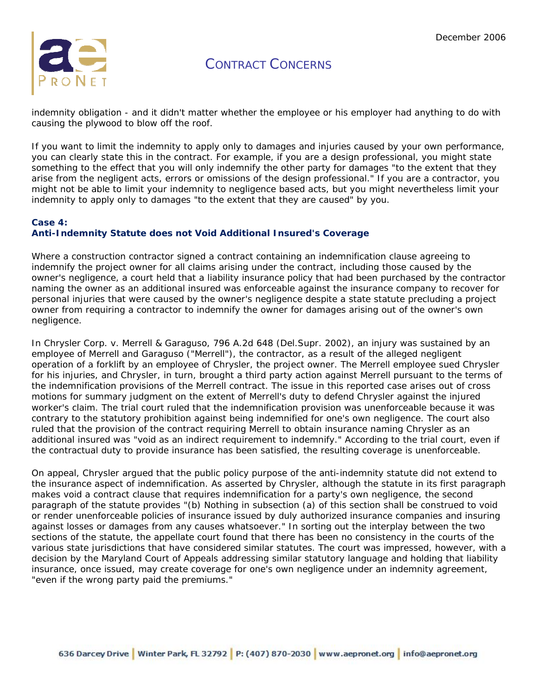

indemnity obligation - and it didn't matter whether the employee or his employer had anything to do with causing the plywood to blow off the roof.

If you want to limit the indemnity to apply only to damages and injuries caused by your own performance, you can clearly state this in the contract. For example, if you are a design professional, you might state something to the effect that you will only indemnify the other party for damages "to the extent that they arise from the negligent acts, errors or omissions of the design professional." If you are a contractor, you might not be able to limit your indemnity to negligence based acts, but you might nevertheless limit your indemnity to apply only to damages "to the extent that they are caused" by you.

### **Case 4: Anti-Indemnity Statute does not Void Additional Insured's Coverage**

Where a construction contractor signed a contract containing an indemnification clause agreeing to indemnify the project owner for all claims arising under the contract, including those caused by the owner's negligence, a court held that a liability insurance policy that had been purchased by the contractor naming the owner as an additional insured was enforceable against the insurance company to recover for personal injuries that were caused by the owner's negligence despite a state statute precluding a project owner from requiring a contractor to indemnify the owner for damages arising out of the owner's own negligence.

In *Chrysler Corp. v. Merrell & Garaguso*, 796 A.2d 648 (Del.Supr. 2002), an injury was sustained by an employee of Merrell and Garaguso ("Merrell"), the contractor, as a result of the alleged negligent operation of a forklift by an employee of Chrysler, the project owner. The Merrell employee sued Chrysler for his injuries, and Chrysler, in turn, brought a third party action against Merrell pursuant to the terms of the indemnification provisions of the Merrell contract. The issue in this reported case arises out of cross motions for summary judgment on the extent of Merrell's duty to defend Chrysler against the injured worker's claim. The trial court ruled that the indemnification provision was unenforceable because it was contrary to the statutory prohibition against being indemnified for one's own negligence. The court also ruled that the provision of the contract requiring Merrell to obtain insurance naming Chrysler as an additional insured was "void as an indirect requirement to indemnify." According to the trial court, even if the contractual duty to provide insurance has been satisfied, the resulting coverage is unenforceable.

On appeal, Chrysler argued that the public policy purpose of the anti-indemnity statute did not extend to the insurance aspect of indemnification. As asserted by Chrysler, although the statute in its first paragraph makes void a contract clause that requires indemnification for a party's own negligence, the second paragraph of the statute provides "(b) Nothing in subsection (a) of this section shall be construed to void or render unenforceable policies of insurance issued by duly authorized insurance companies and insuring against losses or damages from any causes whatsoever." In sorting out the interplay between the two sections of the statute, the appellate court found that there has been no consistency in the courts of the various state jurisdictions that have considered similar statutes. The court was impressed, however, with a decision by the Maryland Court of Appeals addressing similar statutory language and holding that liability insurance, once issued, may create coverage for one's own negligence under an indemnity agreement, "even if the wrong party paid the premiums."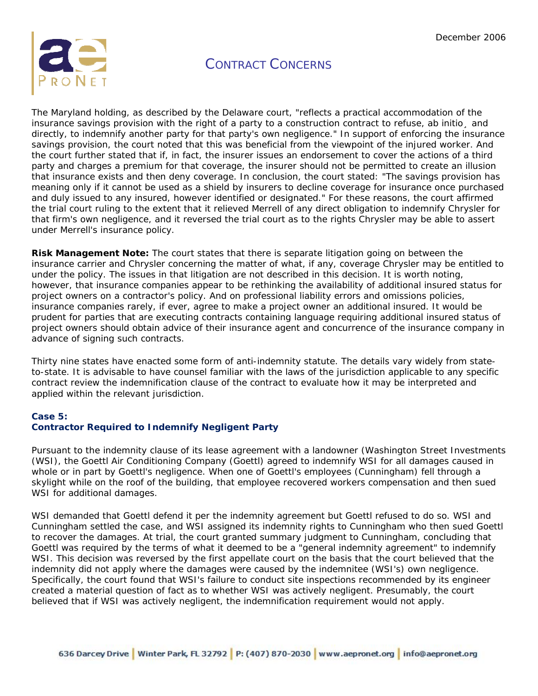

The Maryland holding, as described by the Delaware court, "reflects a practical accommodation of the insurance savings provision with the right of a party to a construction contract to refuse, ab initio, and directly, to indemnify another party for that party's own negligence." In support of enforcing the insurance savings provision, the court noted that this was beneficial from the viewpoint of the injured worker. And the court further stated that if, in fact, the insurer issues an endorsement to cover the actions of a third party and charges a premium for that coverage, the insurer should not be permitted to create an illusion that insurance exists and then deny coverage. In conclusion, the court stated: "The savings provision has meaning only if it cannot be used as a shield by insurers to decline coverage for insurance once purchased and duly issued to any insured, however identified or designated." For these reasons, the court affirmed the trial court ruling to the extent that it relieved Merrell of any direct obligation to indemnify Chrysler for that firm's own negligence, and it reversed the trial court as to the rights Chrysler may be able to assert under Merrell's insurance policy.

**Risk Management Note:** The court states that there is separate litigation going on between the insurance carrier and Chrysler concerning the matter of what, if any, coverage Chrysler may be entitled to under the policy. The issues in that litigation are not described in this decision. It is worth noting, however, that insurance companies appear to be rethinking the availability of additional insured status for project owners on a contractor's policy. And on professional liability errors and omissions policies, insurance companies rarely, if ever, agree to make a project owner an additional insured. It would be prudent for parties that are executing contracts containing language requiring additional insured status of project owners should obtain advice of their insurance agent and concurrence of the insurance company in advance of signing such contracts.

Thirty nine states have enacted some form of anti-indemnity statute. The details vary widely from stateto-state. It is advisable to have counsel familiar with the laws of the jurisdiction applicable to any specific contract review the indemnification clause of the contract to evaluate how it may be interpreted and applied within the relevant jurisdiction.

### **Case 5:**

### **Contractor Required to Indemnify Negligent Party**

Pursuant to the indemnity clause of its lease agreement with a landowner (Washington Street Investments (WSI), the Goettl Air Conditioning Company (Goettl) agreed to indemnify WSI for all damages caused in whole or in part by Goettl's negligence. When one of Goettl's employees (Cunningham) fell through a skylight while on the roof of the building, that employee recovered workers compensation and then sued WSI for additional damages.

WSI demanded that Goettl defend it per the indemnity agreement but Goettl refused to do so. WSI and Cunningham settled the case, and WSI assigned its indemnity rights to Cunningham who then sued Goettl to recover the damages. At trial, the court granted summary judgment to Cunningham, concluding that Goettl was required by the terms of what it deemed to be a "general indemnity agreement" to indemnify WSI. This decision was reversed by the first appellate court on the basis that the court believed that the indemnity did not apply where the damages were caused by the indemnitee (WSI's) own negligence. Specifically, the court found that WSI's failure to conduct site inspections recommended by its engineer created a material question of fact as to whether WSI was actively negligent. Presumably, the court believed that if WSI was actively negligent, the indemnification requirement would not apply.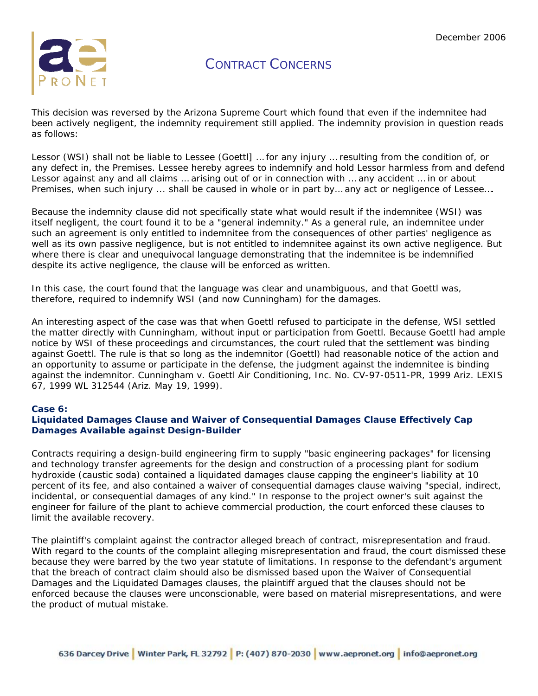

This decision was reversed by the Arizona Supreme Court which found that even if the indemnitee had been actively negligent, the indemnity requirement still applied. The indemnity provision in question reads as follows:

Lessor (WSI) shall not be liable to Lessee (Goettl] … for any injury … resulting from the condition of, or any defect in, the Premises. Lessee hereby agrees to indemnify and hold Lessor harmless from and defend Lessor against any and all claims … arising out of or in connection with … any accident … in or about Premises, when such injury ... shall be caused in whole or in part by… any act or negligence of Lessee….

Because the indemnity clause did not specifically state what would result if the indemnitee (WSI) was itself negligent, the court found it to be a "general indemnity." As a general rule, an indemnitee under such an agreement is only entitled to indemnitee from the consequences of other parties' negligence as well as its own passive negligence, but is not entitled to indemnitee against its own active negligence. But where there is clear and unequivocal language demonstrating that the indemnitee is be indemnified despite its active negligence, the clause will be enforced as written.

In this case, the court found that the language was clear and unambiguous, and that Goettl was, therefore, required to indemnify WSI (and now Cunningham) for the damages.

An interesting aspect of the case was that when Goettl refused to participate in the defense, WSI settled the matter directly with Cunningham, without input or participation from Goettl. Because Goettl had ample notice by WSI of these proceedings and circumstances, the court ruled that the settlement was binding against Goettl. The rule is that so long as the indemnitor (Goettl) had reasonable notice of the action and an opportunity to assume or participate in the defense, the judgment against the indemnitee is binding against the indemnitor. *Cunningham v. Goettl Air Conditioning, Inc.* No. CV-97-0511-PR, 1999 Ariz. LEXIS 67, 1999 WL 312544 (Ariz. May 19, 1999).

### **Case 6:**

### **Liquidated Damages Clause and Waiver of Consequential Damages Clause Effectively Cap Damages Available against Design-Builder**

Contracts requiring a design-build engineering firm to supply "basic engineering packages" for licensing and technology transfer agreements for the design and construction of a processing plant for sodium hydroxide (caustic soda) contained a liquidated damages clause capping the engineer's liability at 10 percent of its fee, and also contained a waiver of consequential damages clause waiving "special, indirect, incidental, or consequential damages of any kind." In response to the project owner's suit against the engineer for failure of the plant to achieve commercial production, the court enforced these clauses to limit the available recovery.

The plaintiff's complaint against the contractor alleged breach of contract, misrepresentation and fraud. With regard to the counts of the complaint alleging misrepresentation and fraud, the court dismissed these because they were barred by the two year statute of limitations. In response to the defendant's argument that the breach of contract claim should also be dismissed based upon the Waiver of Consequential Damages and the Liquidated Damages clauses, the plaintiff argued that the clauses should not be enforced because the clauses were unconscionable, were based on material misrepresentations, and were the product of mutual mistake.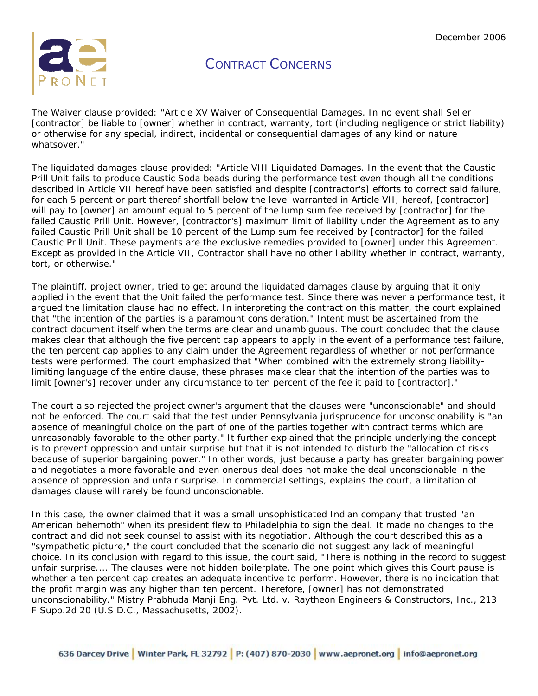

The Waiver clause provided: "Article XV Waiver of Consequential Damages. In no event shall Seller [contractor] be liable to [owner] whether in contract, warranty, tort (including negligence or strict liability) or otherwise for any special, indirect, incidental or consequential damages of any kind or nature whatsover."

The liquidated damages clause provided: "Article VIII Liquidated Damages. In the event that the Caustic Prill Unit fails to produce Caustic Soda beads during the performance test even though all the conditions described in Article VII hereof have been satisfied and despite [contractor's] efforts to correct said failure, for each 5 percent or part thereof shortfall below the level warranted in Article VII, hereof, [contractor] will pay to [owner] an amount equal to 5 percent of the lump sum fee received by [contractor] for the failed Caustic Prill Unit. However, [contractor's] maximum limit of liability under the Agreement as to any failed Caustic Prill Unit shall be 10 percent of the Lump sum fee received by [contractor] for the failed Caustic Prill Unit. These payments are the exclusive remedies provided to [owner] under this Agreement. Except as provided in the Article VII, Contractor shall have no other liability whether in contract, warranty, tort, or otherwise."

The plaintiff, project owner, tried to get around the liquidated damages clause by arguing that it only applied in the event that the Unit failed the performance test. Since there was never a performance test, it argued the limitation clause had no effect. In interpreting the contract on this matter, the court explained that "the intention of the parties is a paramount consideration." Intent must be ascertained from the contract document itself when the terms are clear and unambiguous. The court concluded that the clause makes clear that although the five percent cap appears to apply in the event of a performance test failure, the ten percent cap applies to any claim under the Agreement regardless of whether or not performance tests were performed. The court emphasized that "When combined with the extremely strong liabilitylimiting language of the entire clause, these phrases make clear that the intention of the parties was to limit [owner's] recover under any circumstance to ten percent of the fee it paid to [contractor]."

The court also rejected the project owner's argument that the clauses were "unconscionable" and should not be enforced. The court said that the test under Pennsylvania jurisprudence for unconscionability is "an absence of meaningful choice on the part of one of the parties together with contract terms which are unreasonably favorable to the other party." It further explained that the principle underlying the concept is to prevent oppression and unfair surprise but that it is not intended to disturb the "allocation of risks because of superior bargaining power." In other words, just because a party has greater bargaining power and negotiates a more favorable and even onerous deal does not make the deal unconscionable in the absence of oppression and unfair surprise. In commercial settings, explains the court, a limitation of damages clause will rarely be found unconscionable.

In this case, the owner claimed that it was a small unsophisticated Indian company that trusted "an American behemoth" when its president flew to Philadelphia to sign the deal. It made no changes to the contract and did not seek counsel to assist with its negotiation. Although the court described this as a "sympathetic picture," the court concluded that the scenario did not suggest any lack of meaningful choice. In its conclusion with regard to this issue, the court said, "There is nothing in the record to suggest unfair surprise.... The clauses were not hidden boilerplate. The one point which gives this Court pause is whether a ten percent cap creates an adequate incentive to perform. However, there is no indication that the profit margin was any higher than ten percent. Therefore, [owner] has not demonstrated unconscionability." Mistry Prabhuda Manji Eng. Pvt. Ltd. v. Raytheon Engineers & Constructors, Inc., 213 F.Supp.2d 20 (U.S D.C., Massachusetts, 2002).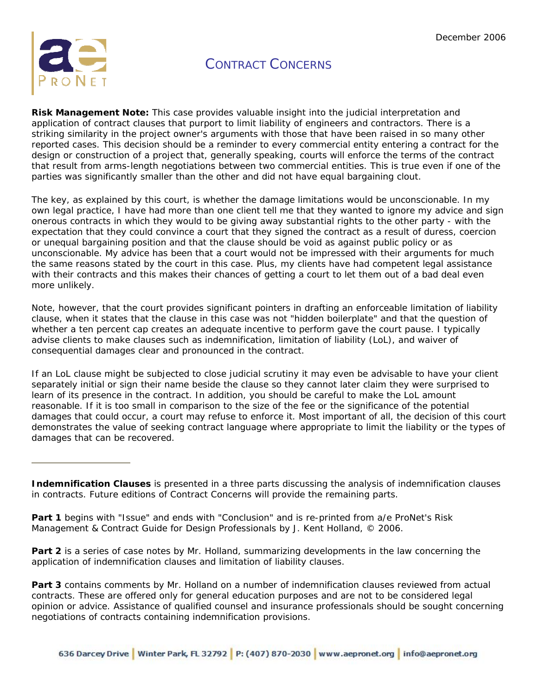

**Risk Management Note:** This case provides valuable insight into the judicial interpretation and application of contract clauses that purport to limit liability of engineers and contractors. There is a striking similarity in the project owner's arguments with those that have been raised in so many other reported cases. This decision should be a reminder to every commercial entity entering a contract for the design or construction of a project that, generally speaking, courts will enforce the terms of the contract that result from arms-length negotiations between two commercial entities. This is true even if one of the parties was significantly smaller than the other and did not have equal bargaining clout.

The key, as explained by this court, is whether the damage limitations would be unconscionable. In my own legal practice, I have had more than one client tell me that they wanted to ignore my advice and sign onerous contracts in which they would to be giving away substantial rights to the other party - with the expectation that they could convince a court that they signed the contract as a result of duress, coercion or unequal bargaining position and that the clause should be void as against public policy or as unconscionable. My advice has been that a court would not be impressed with their arguments for much the same reasons stated by the court in this case. Plus, my clients have had competent legal assistance with their contracts and this makes their chances of getting a court to let them out of a bad deal even more unlikely.

Note, however, that the court provides significant pointers in drafting an enforceable limitation of liability clause, when it states that the clause in this case was not "hidden boilerplate" and that the question of whether a ten percent cap creates an adequate incentive to perform gave the court pause. I typically advise clients to make clauses such as indemnification, limitation of liability (LoL), and waiver of consequential damages clear and pronounced in the contract.

If an LoL clause might be subjected to close judicial scrutiny it may even be advisable to have your client separately initial or sign their name beside the clause so they cannot later claim they were surprised to learn of its presence in the contract. In addition, you should be careful to make the LoL amount reasonable. If it is too small in comparison to the size of the fee or the significance of the potential damages that could occur, a court may refuse to enforce it. Most important of all, the decision of this court demonstrates the value of seeking contract language where appropriate to limit the liability or the types of damages that can be recovered.

**Part 2** is a series of case notes by Mr. Holland, summarizing developments in the law concerning the application of indemnification clauses and limitation of liability clauses.

**Part 3** contains comments by Mr. Holland on a number of indemnification clauses reviewed from actual contracts. These are offered only for general education purposes and are not to be considered legal opinion or advice. Assistance of qualified counsel and insurance professionals should be sought concerning negotiations of contracts containing indemnification provisions.

**Indemnification Clauses** is presented in a three parts discussing the analysis of indemnification clauses in contracts. Future editions of Contract Concerns will provide the remaining parts.

**Part 1** begins with "Issue" and ends with "Conclusion" and is re-printed from a/e ProNet's Risk Management & Contract Guide for Design Professionals by J. Kent Holland, © 2006.